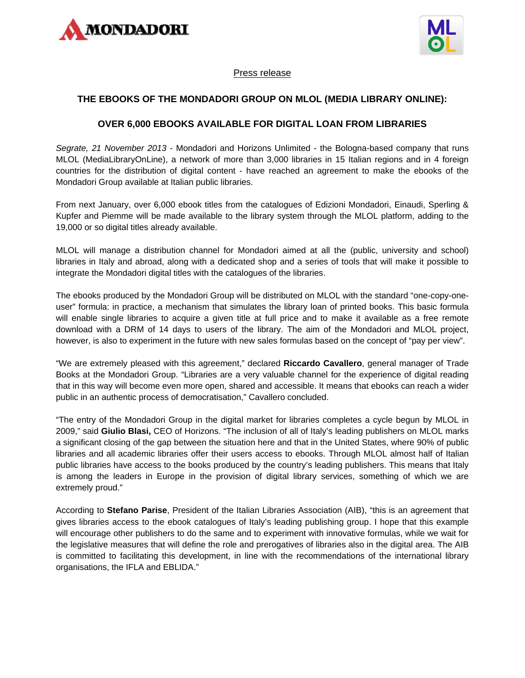



### Press release

# **THE EBOOKS OF THE MONDADORI GROUP ON MLOL (MEDIA LIBRARY ONLINE):**

## **OVER 6,000 EBOOKS AVAILABLE FOR DIGITAL LOAN FROM LIBRARIES**

*Segrate, 21 November 2013* - Mondadori and Horizons Unlimited - the Bologna-based company that runs MLOL (MediaLibraryOnLine), a network of more than 3,000 libraries in 15 Italian regions and in 4 foreign countries for the distribution of digital content - have reached an agreement to make the ebooks of the Mondadori Group available at Italian public libraries.

From next January, over 6,000 ebook titles from the catalogues of Edizioni Mondadori, Einaudi, Sperling & Kupfer and Piemme will be made available to the library system through the MLOL platform, adding to the 19,000 or so digital titles already available.

MLOL will manage a distribution channel for Mondadori aimed at all the (public, university and school) libraries in Italy and abroad, along with a dedicated shop and a series of tools that will make it possible to integrate the Mondadori digital titles with the catalogues of the libraries.

The ebooks produced by the Mondadori Group will be distributed on MLOL with the standard "one-copy-oneuser" formula: in practice, a mechanism that simulates the library loan of printed books. This basic formula will enable single libraries to acquire a given title at full price and to make it available as a free remote download with a DRM of 14 days to users of the library. The aim of the Mondadori and MLOL project, however, is also to experiment in the future with new sales formulas based on the concept of "pay per view".

"We are extremely pleased with this agreement," declared **Riccardo Cavallero**, general manager of Trade Books at the Mondadori Group. "Libraries are a very valuable channel for the experience of digital reading that in this way will become even more open, shared and accessible. It means that ebooks can reach a wider public in an authentic process of democratisation," Cavallero concluded.

"The entry of the Mondadori Group in the digital market for libraries completes a cycle begun by MLOL in 2009," said **Giulio Blasi,** CEO of Horizons. "The inclusion of all of Italy's leading publishers on MLOL marks a significant closing of the gap between the situation here and that in the United States, where 90% of public libraries and all academic libraries offer their users access to ebooks. Through MLOL almost half of Italian public libraries have access to the books produced by the country's leading publishers. This means that Italy is among the leaders in Europe in the provision of digital library services, something of which we are extremely proud."

According to **Stefano Parise**, President of the Italian Libraries Association (AIB), "this is an agreement that gives libraries access to the ebook catalogues of Italy's leading publishing group. I hope that this example will encourage other publishers to do the same and to experiment with innovative formulas, while we wait for the legislative measures that will define the role and prerogatives of libraries also in the digital area. The AIB is committed to facilitating this development, in line with the recommendations of the international library organisations, the IFLA and EBLIDA."